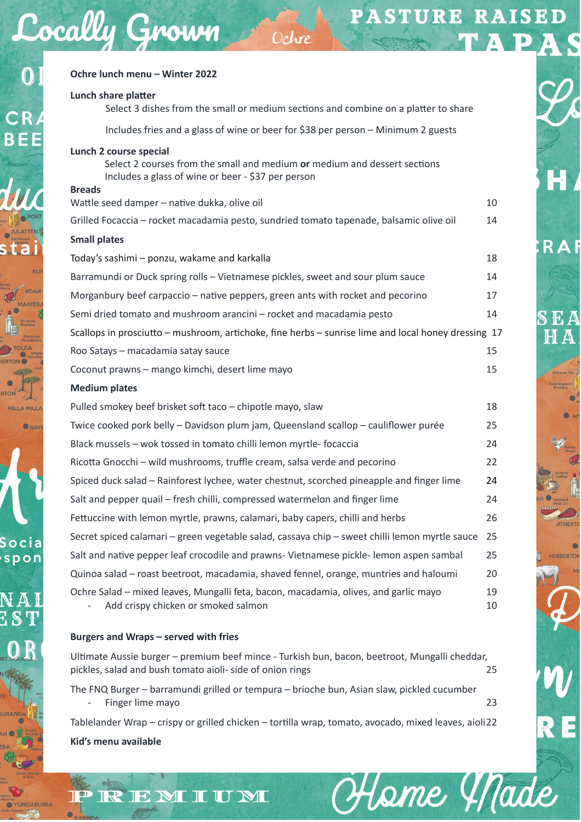R A F

ЕA  $\Delta$ 

ERBERTO

Hame Y Nade

| Lunch share platter<br>Select 3 dishes from the small or medium sections and combine on a platter to share                                                                 |          |
|----------------------------------------------------------------------------------------------------------------------------------------------------------------------------|----------|
| Includes fries and a glass of wine or beer for \$38 per person - Minimum 2 guests                                                                                          |          |
| Lunch 2 course special<br>Select 2 courses from the small and medium or medium and dessert sections<br>Includes a glass of wine or beer - \$37 per person<br><b>Breads</b> |          |
| Wattle seed damper - native dukka, olive oil                                                                                                                               | 10       |
| Grilled Focaccia - rocket macadamia pesto, sundried tomato tapenade, balsamic olive oil                                                                                    | 14       |
| <b>Small plates</b>                                                                                                                                                        |          |
| Today's sashimi - ponzu, wakame and karkalla                                                                                                                               | 18       |
| Barramundi or Duck spring rolls - Vietnamese pickles, sweet and sour plum sauce                                                                                            | 14       |
| Morganbury beef carpaccio – native peppers, green ants with rocket and pecorino                                                                                            | 17       |
| Semi dried tomato and mushroom arancini - rocket and macadamia pesto                                                                                                       | 14       |
| Scallops in prosciutto – mushroom, artichoke, fine herbs – sunrise lime and local honey dressing 17                                                                        |          |
| Roo Satays - macadamia satay sauce                                                                                                                                         | 15       |
| Coconut prawns - mango kimchi, desert lime mayo                                                                                                                            | 15       |
| <b>Medium plates</b>                                                                                                                                                       |          |
| Pulled smokey beef brisket soft taco - chipotle mayo, slaw                                                                                                                 | 18       |
| Twice cooked pork belly - Davidson plum jam, Queensland scallop - cauliflower purée                                                                                        | 25       |
| Black mussels - wok tossed in tomato chilli lemon myrtle-focaccia                                                                                                          | 24       |
| Ricotta Gnocchi - wild mushrooms, truffle cream, salsa verde and pecorino                                                                                                  | 22       |
| Spiced duck salad - Rainforest lychee, water chestnut, scorched pineapple and finger lime                                                                                  | 24       |
| Salt and pepper quail - fresh chilli, compressed watermelon and finger lime                                                                                                | 24       |
| Fettuccine with lemon myrtle, prawns, calamari, baby capers, chilli and herbs                                                                                              | 26       |
| Secret spiced calamari - green vegetable salad, cassava chip - sweet chilli lemon myrtle sauce                                                                             | 25       |
| Salt and native pepper leaf crocodile and prawns- Vietnamese pickle-lemon aspen sambal                                                                                     | 25       |
| Quinoa salad - roast beetroot, macadamia, shaved fennel, orange, muntries and haloumi                                                                                      | 20       |
| Ochre Salad - mixed leaves, Mungalli feta, bacon, macadamia, olives, and garlic mayo<br>Add crispy chicken or smoked salmon                                                | 19<br>10 |

Ochre

## **Burgers and Wraps – served with fries**

REMIUM

Cocally Grown

 $\overline{0}$ 

CR

**BEE** 

ORA

Socia spon

> Ultimate Aussie burger – premium beef mince - Turkish bun, bacon, beetroot, Mungalli cheddar, pickles, salad and bush tomato aioli- side of onion rings 25

> The FNQ Burger – barramundi grilled or tempura – brioche bun, Asian slaw, pickled cucumber Finger lime mayo 23

> Tablelander Wrap – crispy or grilled chicken – tortilla wrap, tomato, avocado, mixed leaves, aioli 22 **Kid's menu available**